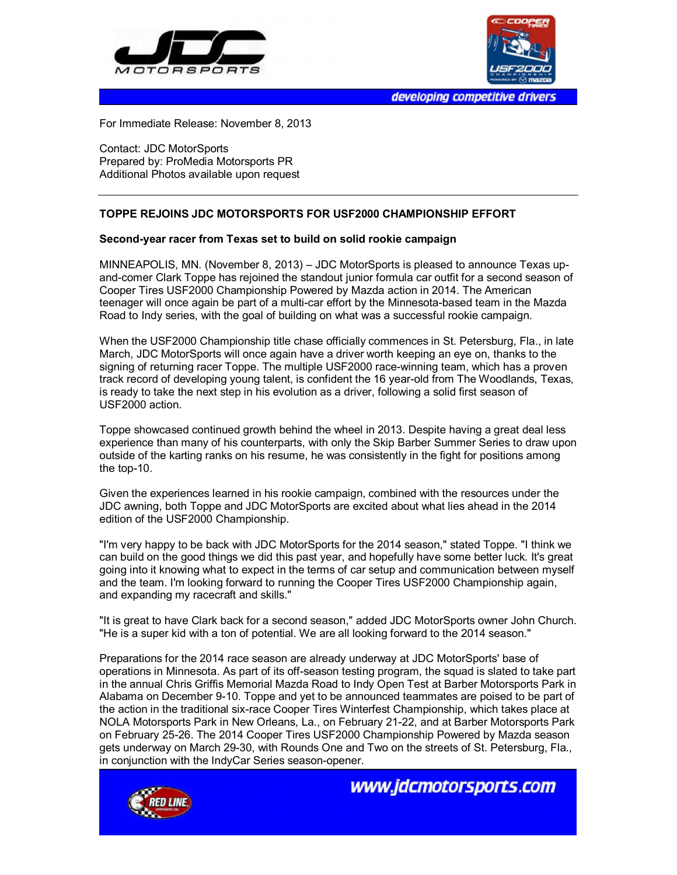



developing competitive drivers

For Immediate Release: November 8, 2013

Contact: JDC MotorSports Prepared by: ProMedia Motorsports PR Additional Photos available upon request

## **TOPPE REJOINS JDC MOTORSPORTS FOR USF2000 CHAMPIONSHIP EFFORT**

## **Second-year racer from Texas set to build on solid rookie campaign**

MINNEAPOLIS, MN. (November 8, 2013) – JDC MotorSports is pleased to announce Texas upand-comer Clark Toppe has rejoined the standout junior formula car outfit for a second season of Cooper Tires USF2000 Championship Powered by Mazda action in 2014. The American teenager will once again be part of a multi-car effort by the Minnesota-based team in the Mazda Road to Indy series, with the goal of building on what was a successful rookie campaign.

When the USF2000 Championship title chase officially commences in St. Petersburg, Fla., in late March, JDC MotorSports will once again have a driver worth keeping an eye on, thanks to the signing of returning racer Toppe. The multiple USF2000 race-winning team, which has a proven track record of developing young talent, is confident the 16 year-old from The Woodlands, Texas, is ready to take the next step in his evolution as a driver, following a solid first season of USF2000 action.

Toppe showcased continued growth behind the wheel in 2013. Despite having a great deal less experience than many of his counterparts, with only the Skip Barber Summer Series to draw upon outside of the karting ranks on his resume, he was consistently in the fight for positions among the top-10.

Given the experiences learned in his rookie campaign, combined with the resources under the JDC awning, both Toppe and JDC MotorSports are excited about what lies ahead in the 2014 edition of the USF2000 Championship.

"I'm very happy to be back with JDC MotorSports for the 2014 season," stated Toppe. "I think we can build on the good things we did this past year, and hopefully have some better luck. It's great going into it knowing what to expect in the terms of car setup and communication between myself and the team. I'm looking forward to running the Cooper Tires USF2000 Championship again, and expanding my racecraft and skills."

"It is great to have Clark back for a second season," added JDC MotorSports owner John Church. "He is a super kid with a ton of potential. We are all looking forward to the 2014 season."

Preparations for the 2014 race season are already underway at JDC MotorSports' base of operations in Minnesota. As part of its off-season testing program, the squad is slated to take part in the annual Chris Griffis Memorial Mazda Road to Indy Open Test at Barber Motorsports Park in Alabama on December 9-10. Toppe and yet to be announced teammates are poised to be part of the action in the traditional six-race Cooper Tires Winterfest Championship, which takes place at NOLA Motorsports Park in New Orleans, La., on February 21-22, and at Barber Motorsports Park on February 25-26. The 2014 Cooper Tires USF2000 Championship Powered by Mazda season gets underway on March 29-30, with Rounds One and Two on the streets of St. Petersburg, Fla., in conjunction with the IndyCar Series season-opener.



www.idcmotorsports.com